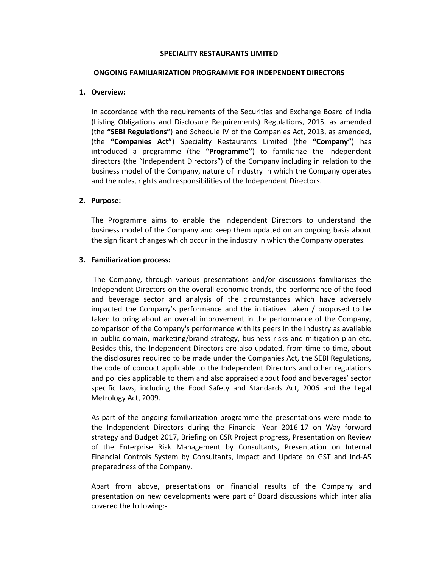### SPECIALITY RESTAURANTS LIMITED

#### ONGOING FAMILIARIZATION PROGRAMME FOR INDEPENDENT DIRECTORS

## 1. Overview:

In accordance with the requirements of the Securities and Exchange Board of India (Listing Obligations and Disclosure Requirements) Regulations, 2015, as amended (the "SEBI Regulations") and Schedule IV of the Companies Act, 2013, as amended, (the "Companies Act") Speciality Restaurants Limited (the "Company") has introduced a programme (the "Programme") to familiarize the independent directors (the "Independent Directors") of the Company including in relation to the business model of the Company, nature of industry in which the Company operates and the roles, rights and responsibilities of the Independent Directors.

# 2. Purpose:

The Programme aims to enable the Independent Directors to understand the business model of the Company and keep them updated on an ongoing basis about the significant changes which occur in the industry in which the Company operates.

# 3. Familiarization process:

 The Company, through various presentations and/or discussions familiarises the Independent Directors on the overall economic trends, the performance of the food and beverage sector and analysis of the circumstances which have adversely impacted the Company's performance and the initiatives taken / proposed to be taken to bring about an overall improvement in the performance of the Company, comparison of the Company's performance with its peers in the Industry as available in public domain, marketing/brand strategy, business risks and mitigation plan etc. Besides this, the Independent Directors are also updated, from time to time, about the disclosures required to be made under the Companies Act, the SEBI Regulations, the code of conduct applicable to the Independent Directors and other regulations and policies applicable to them and also appraised about food and beverages' sector specific laws, including the Food Safety and Standards Act, 2006 and the Legal Metrology Act, 2009.

As part of the ongoing familiarization programme the presentations were made to the Independent Directors during the Financial Year 2016-17 on Way forward strategy and Budget 2017, Briefing on CSR Project progress, Presentation on Review of the Enterprise Risk Management by Consultants, Presentation on Internal Financial Controls System by Consultants, Impact and Update on GST and Ind-AS preparedness of the Company.

Apart from above, presentations on financial results of the Company and presentation on new developments were part of Board discussions which inter alia covered the following:-